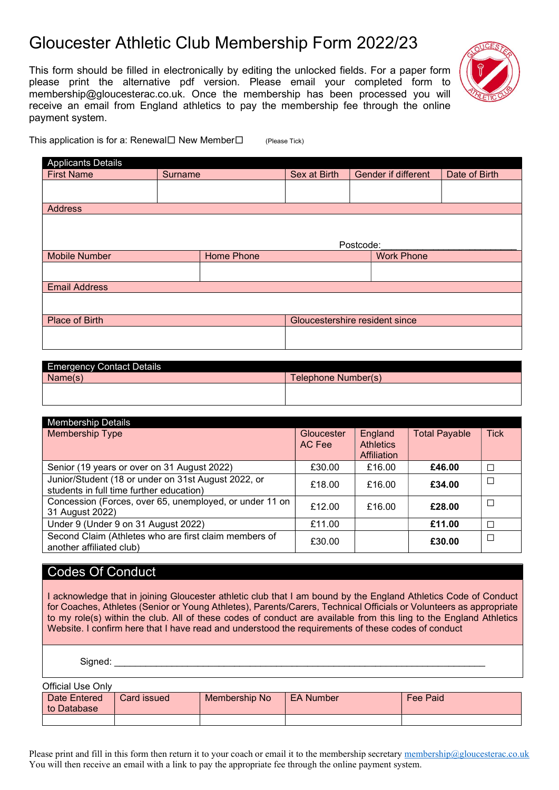## Gloucester Athletic Club Membership Form 2022/23

This form should be filled in electronically by editing the unlocked fields. For a paper form please print the alternative pdf version. Please email your completed form to membership@gloucesterac.co.uk. Once the membership has been processed you will receive an email from England athletics to pay the membership fee through the online payment system.



This application is for a: Renewal $\Box$  New Member $\Box$  (Please Tick)

| <b>Applicants Details</b> |                |            |                                |           |                            |               |
|---------------------------|----------------|------------|--------------------------------|-----------|----------------------------|---------------|
| <b>First Name</b>         | <b>Surname</b> |            | Sex at Birth                   |           | <b>Gender if different</b> | Date of Birth |
|                           |                |            |                                |           |                            |               |
|                           |                |            |                                |           |                            |               |
| <b>Address</b>            |                |            |                                |           |                            |               |
|                           |                |            |                                |           |                            |               |
|                           |                |            |                                |           |                            |               |
|                           |                |            |                                | Postcode: |                            |               |
| <b>Mobile Number</b>      |                | Home Phone |                                |           | <b>Work Phone</b>          |               |
|                           |                |            |                                |           |                            |               |
|                           |                |            |                                |           |                            |               |
| <b>Email Address</b>      |                |            |                                |           |                            |               |
|                           |                |            |                                |           |                            |               |
|                           |                |            |                                |           |                            |               |
| Place of Birth            |                |            | Gloucestershire resident since |           |                            |               |
|                           |                |            |                                |           |                            |               |
|                           |                |            |                                |           |                            |               |

| <b>Emergency Contact Details</b> |                     |
|----------------------------------|---------------------|
| Name(s)                          | Telephone Number(s) |
|                                  |                     |
|                                  |                     |

| <b>Membership Details</b>                                                                       |            |                                 |                      |             |
|-------------------------------------------------------------------------------------------------|------------|---------------------------------|----------------------|-------------|
| Membership Type                                                                                 | Gloucester | England                         | <b>Total Payable</b> | <b>Tick</b> |
|                                                                                                 | AC Fee     | <b>Athletics</b><br>Affiliation |                      |             |
| Senior (19 years or over on 31 August 2022)                                                     | £30.00     | £16.00                          | £46.00               | П           |
| Junior/Student (18 or under on 31st August 2022, or<br>students in full time further education) | £18.00     | £16.00                          | £34.00               | $\Box$      |
| Concession (Forces, over 65, unemployed, or under 11 on<br>31 August 2022)                      | £12.00     | £16.00                          | £28.00               | П           |
| Under 9 (Under 9 on 31 August 2022)                                                             | £11.00     |                                 | £11.00               | $\Box$      |
| Second Claim (Athletes who are first claim members of<br>another affiliated club)               | £30.00     |                                 | £30.00               | П           |

## Codes Of Conduct

I acknowledge that in joining Gloucester athletic club that I am bound by the England Athletics Code of Conduct for Coaches, Athletes (Senior or Young Athletes), Parents/Carers, Technical Officials or Volunteers as appropriate to my role(s) within the club. All of these codes of conduct are available from this ling to the England Athletics Website. I confirm here that I have read and understood the requirements of these codes of conduct

Signed:

| Official Use Only           |             |               |                  |                 |
|-----------------------------|-------------|---------------|------------------|-----------------|
| Date Entered<br>to Database | Card issued | Membership No | <b>EA Number</b> | <b>Fee Paid</b> |
|                             |             |               |                  |                 |

Please print and fill in this form then return it to your coach or email it to the membership secretary membership@gloucesterac.co.uk You will then receive an email with a link to pay the appropriate fee through the online payment system.